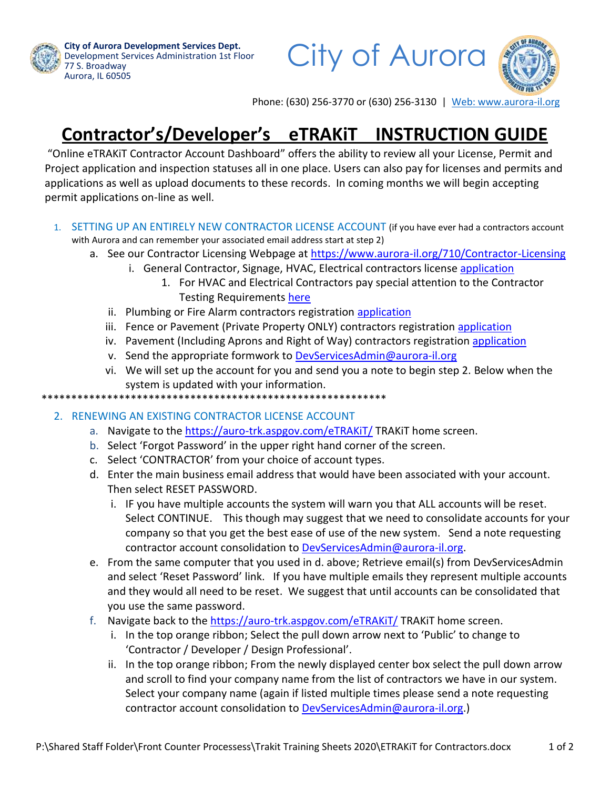**City of Aurora Development Services Dept.** Development Services Administration 1st Floor 77 S. Broadway Aurora, IL 60505

Phone: (630) 256-3770 or (630) 256-3130 | Web: www[.aurora-il.org](https://www.aurora-il.org/)

City of Aurora

## **Contractor's/Developer's eTRAKiT INSTRUCTION GUIDE**

"Online eTRAKiT Contractor Account Dashboard" offers the ability to review all your License, Permit and Project application and inspection statuses all in one place. Users can also pay for licenses and permits and applications as well as upload documents to these records. In coming months we will begin accepting permit applications on-line as well.

- 1. SETTING UP AN ENTIRELY NEW CONTRACTOR LICENSE ACCOUNT (if you have ever had a contractors account with Aurora and can remember your associated email address start at step 2)
	- a. See our Contractor Licensing Webpage at<https://www.aurora-il.org/710/Contractor-Licensing>
		- i. General Contractor, Signage, HVAC, Electrical contractors license [application](https://www.aurora-il.org/DocumentCenter/View/848/Contractor-License-Application-PDF?bidId=)
			- 1. For HVAC and Electrical Contractors pay special attention to the Contractor Testing Requirements [here](https://www.aurora-il.org/710/Contractor-Licensing)
		- ii. Plumbing or Fire Alarm contractors registration [application](https://www.aurora-il.org/DocumentCenter/View/849/Contractor-Registration---Plumbing-PDF?bidId=)
		- iii. Fence or Pavement (Private Property ONLY) contractors registration [application](https://www.aurora-il.org/DocumentCenter/View/850/Fence-and-Driveway-Contractor-License-Application-PDF?bidId=)
		- iv. Pavement (Including Aprons and Right of Way) contractors registration [application](https://www.aurora-il.org/DocumentCenter/View/2784/Contractors-License-Application-?bidId=)
		- v. Send the appropriate formwork to [DevServicesAdmin@aurora-il.org](mailto:DevServicesAdmin@aurora-il.org)
		- vi. We will set up the account for you and send you a note to begin step 2. Below when the system is updated with your information.
- \*\*\*\*\*\*\*\*\*\*\*\*\*\*\*\*\*\*\*\*\*\*\*\*\*\*\*\*\*\*\*\*\*\*\*\*\*\*\*\*\*\*\*\*\*\*\*\*\*\*\*\*\*\*\*\*\*\*

## 2. RENEWING AN EXISTING CONTRACTOR LICENSE ACCOUNT

- a. Navigate to the<https://auro-trk.aspgov.com/eTRAKiT/> TRAKiT home screen.
- b. Select 'Forgot Password' in the upper right hand corner of the screen.
- c. Select 'CONTRACTOR' from your choice of account types.
- d. Enter the main business email address that would have been associated with your account. Then select RESET PASSWORD.
	- i. IF you have multiple accounts the system will warn you that ALL accounts will be reset. Select CONTINUE. This though may suggest that we need to consolidate accounts for your company so that you get the best ease of use of the new system. Send a note requesting contractor account consolidation to [DevServicesAdmin@aurora-il.org.](mailto:DevServicesAdmin@aurora-il.org)
- e. From the same computer that you used in d. above; Retrieve email(s) from DevServicesAdmin and select 'Reset Password' link. If you have multiple emails they represent multiple accounts and they would all need to be reset. We suggest that until accounts can be consolidated that you use the same password.
- f. Navigate back to the<https://auro-trk.aspgov.com/eTRAKiT/> TRAKiT home screen.
	- i. In the top orange ribbon; Select the pull down arrow next to 'Public' to change to 'Contractor / Developer / Design Professional'.
	- ii. In the top orange ribbon; From the newly displayed center box select the pull down arrow and scroll to find your company name from the list of contractors we have in our system. Select your company name (again if listed multiple times please send a note requesting contractor account consolidation to [DevServicesAdmin@aurora-il.org.](mailto:DevServicesAdmin@aurora-il.org))